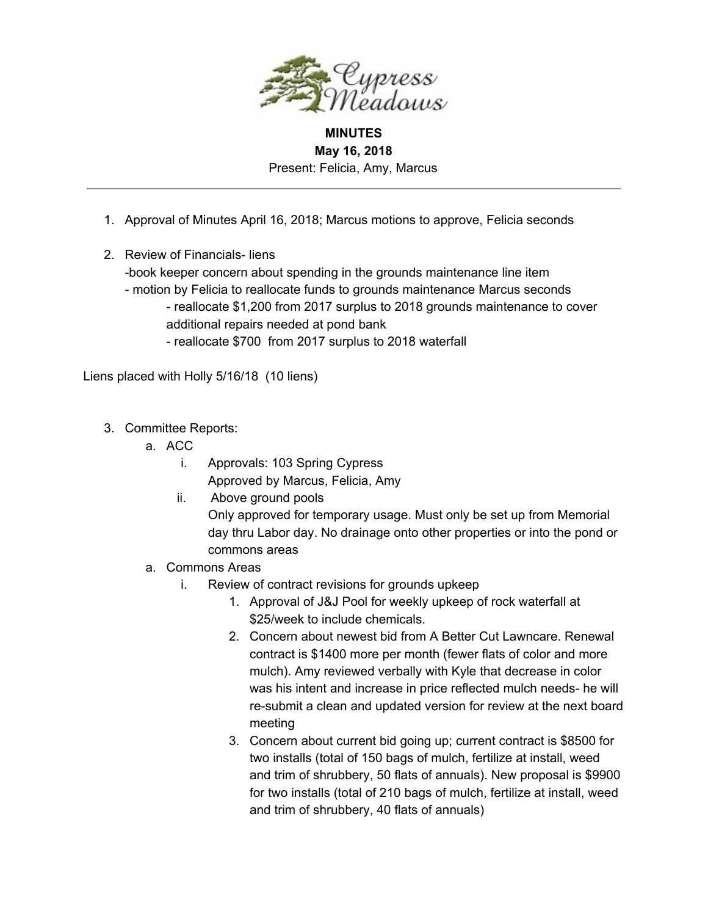

## **MINUTES May 16, 2018** Present: Felicia, Amy, Marcus

- 1. Approval of Minutes April 16, 2018; Marcus motions to approve, Felicia seconds
- 2. Review of Financials- liens
	- -book keeper concern about spending in the grounds maintenance line item
	- motion by Felicia to reallocate funds to grounds maintenance Marcus seconds - reallocate \$1,200 from 2017 surplus to 2018 grounds maintenance to cover additional repairs needed at pond bank
		- reallocate \$700 from 2017 surplus to 2018 waterfall

Liens placed with Holly 5/16/18 (10 liens)

- 3. Committee Reports:
	- a. ACC
		- i. Approvals: 103 Spring Cypress Approved by Marcus, Felicia, Amy
		- ii. Above ground pools

Only approved for temporary usage. Must only be set up from Memorial day thru Labor day. No drainage onto other properties or into the pond or commons areas

- a. Commons Areas
	- i. Review of contract revisions for grounds upkeep
		- 1. Approval of J&J Pool for weekly upkeep of rock waterfall at \$25/week to include chemicals.
		- 2. Concern about newest bid from A Better Cut Lawncare. Renewal contract is \$1400 more per month (fewer flats of color and more mulch). Amy reviewed verbally with Kyle that decrease in color was his intent and increase in price reflected mulch needs- he will re-submit a clean and updated version for review at the next board meeting
		- 3. Concern about current bid going up; current contract is \$8500 for two installs (total of 150 bags of mulch, fertilize at install, weed and trim of shrubbery, 50 flats of annuals). New proposal is \$9900 for two installs (total of 210 bags of mulch, fertilize at install, weed and trim of shrubbery, 40 flats of annuals)